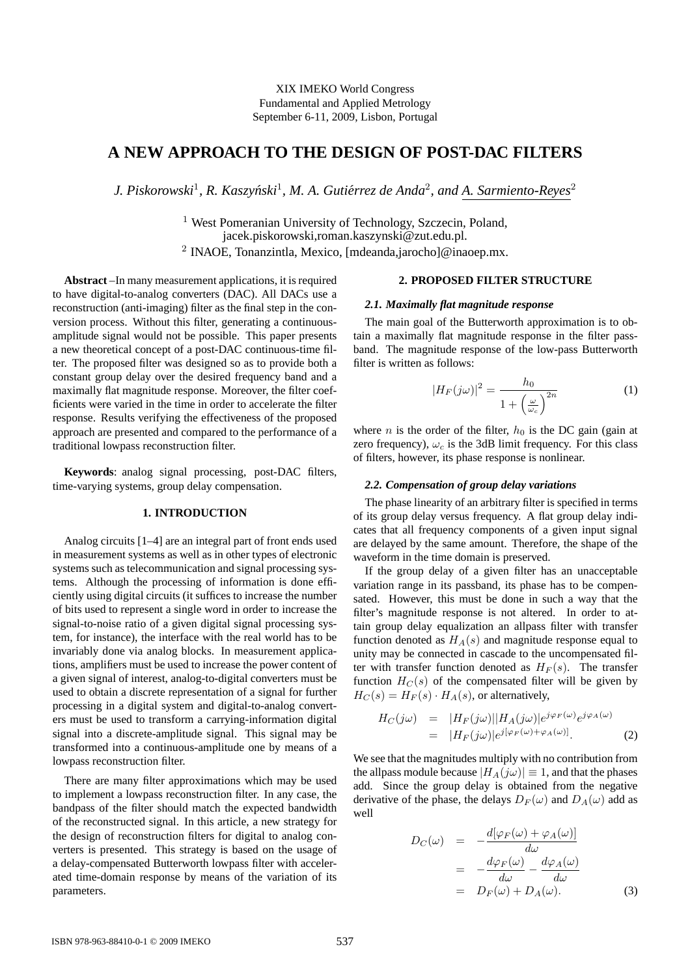# **A NEW APPROACH TO THE DESIGN OF POST-DAC FILTERS**

*J. Piskorowski*<sup>1</sup> *, R. Kaszynski ´* 1 *, M. A. Gutierrez de Anda ´* 2 *, and A. Sarmiento-Reyes*<sup>2</sup>

<sup>1</sup> West Pomeranian University of Technology, Szczecin, Poland, jacek.piskorowski,roman.kaszynski@zut.edu.pl. 2 INAOE, Tonanzintla, Mexico, [mdeanda,jarocho]@inaoep.mx.

**Abstract** –In many measurement applications, it is required to have digital-to-analog converters (DAC). All DACs use a reconstruction (anti-imaging) filter as the final step in the conversion process. Without this filter, generating a continuousamplitude signal would not be possible. This paper presents a new theoretical concept of a post-DAC continuous-time filter. The proposed filter was designed so as to provide both a constant group delay over the desired frequency band and a maximally flat magnitude response. Moreover, the filter coefficients were varied in the time in order to accelerate the filter response. Results verifying the effectiveness of the proposed approach are presented and compared to the performance of a traditional lowpass reconstruction filter.

**Keywords**: analog signal processing, post-DAC filters, time-varying systems, group delay compensation.

## **1. INTRODUCTION**

Analog circuits [1–4] are an integral part of front ends used in measurement systems as well as in other types of electronic systems such as telecommunication and signal processing systems. Although the processing of information is done efficiently using digital circuits (it suffices to increase the number of bits used to represent a single word in order to increase the signal-to-noise ratio of a given digital signal processing system, for instance), the interface with the real world has to be invariably done via analog blocks. In measurement applications, amplifiers must be used to increase the power content of a given signal of interest, analog-to-digital converters must be used to obtain a discrete representation of a signal for further processing in a digital system and digital-to-analog converters must be used to transform a carrying-information digital signal into a discrete-amplitude signal. This signal may be transformed into a continuous-amplitude one by means of a lowpass reconstruction filter.

There are many filter approximations which may be used to implement a lowpass reconstruction filter. In any case, the bandpass of the filter should match the expected bandwidth of the reconstructed signal. In this article, a new strategy for the design of reconstruction filters for digital to analog converters is presented. This strategy is based on the usage of a delay-compensated Butterworth lowpass filter with accelerated time-domain response by means of the variation of its parameters.

## **2. PROPOSED FILTER STRUCTURE**

#### *2.1. Maximally flat magnitude response*

The main goal of the Butterworth approximation is to obtain a maximally flat magnitude response in the filter passband. The magnitude response of the low-pass Butterworth filter is written as follows:

$$
|H_F(j\omega)|^2 = \frac{h_0}{1 + \left(\frac{\omega}{\omega_c}\right)^{2n}}\tag{1}
$$

where *n* is the order of the filter,  $h_0$  is the DC gain (gain at zero frequency),  $\omega_c$  is the 3dB limit frequency. For this class of filters, however, its phase response is nonlinear.

### *2.2. Compensation of group delay variations*

The phase linearity of an arbitrary filter is specified in terms of its group delay versus frequency. A flat group delay indicates that all frequency components of a given input signal are delayed by the same amount. Therefore, the shape of the waveform in the time domain is preserved.

If the group delay of a given filter has an unacceptable variation range in its passband, its phase has to be compensated. However, this must be done in such a way that the filter's magnitude response is not altered. In order to attain group delay equalization an allpass filter with transfer function denoted as  $H_A(s)$  and magnitude response equal to unity may be connected in cascade to the uncompensated filter with transfer function denoted as  $H_F(s)$ . The transfer function  $H_C(s)$  of the compensated filter will be given by  $H_C(s) = H_F(s) \cdot H_A(s)$ , or alternatively,

$$
H_C(j\omega) = |H_F(j\omega)||H_A(j\omega)|e^{j\varphi_F(\omega)}e^{j\varphi_A(\omega)}
$$
  
= 
$$
|H_F(j\omega)|e^{j[\varphi_F(\omega)+\varphi_A(\omega)]}.
$$
 (2)

We see that the magnitudes multiply with no contribution from the allpass module because  $|H_A(j\omega)| \equiv 1$ , and that the phases add. Since the group delay is obtained from the negative derivative of the phase, the delays  $D_F(\omega)$  and  $D_A(\omega)$  add as well

$$
D_C(\omega) = -\frac{d[\varphi_F(\omega) + \varphi_A(\omega)]}{d\omega}
$$
  
= 
$$
-\frac{d\varphi_F(\omega)}{d\omega} - \frac{d\varphi_A(\omega)}{d\omega}
$$
  
= 
$$
D_F(\omega) + D_A(\omega).
$$
 (3)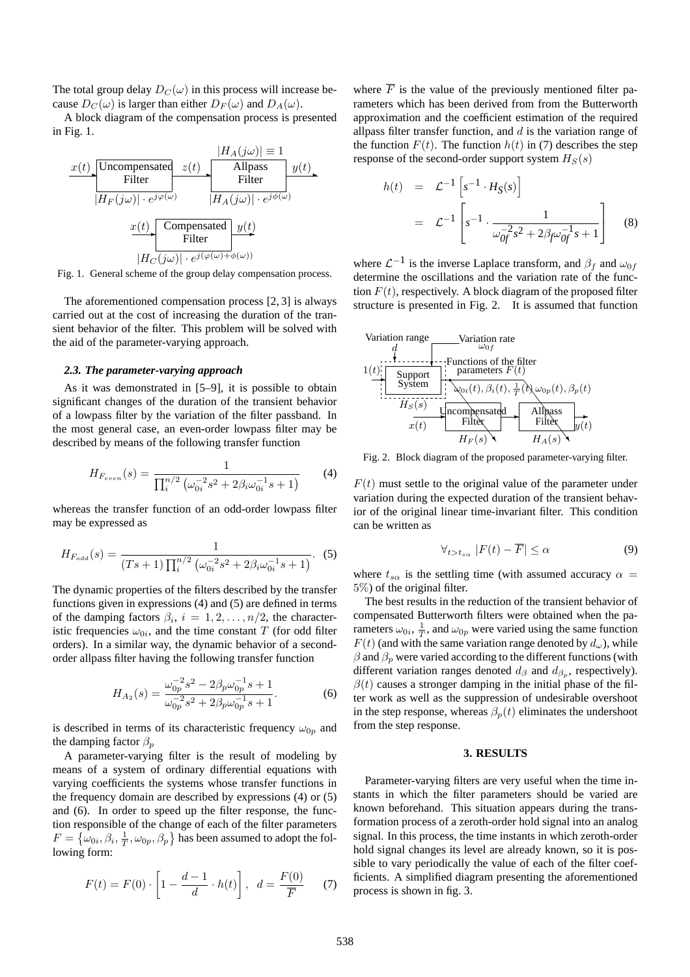The total group delay  $D_C(\omega)$  in this process will increase because  $D_C(\omega)$  is larger than either  $D_F(\omega)$  and  $D_A(\omega)$ .

A block diagram of the compensation process is presented in Fig. 1.

$$
x(t) \text{Uncompensated } z(t) \text{ Allpass} \quad y(t)
$$
\n
$$
|H_A(j\omega)| \equiv 1
$$
\n
$$
|H_F(j\omega)| \cdot e^{j\varphi(\omega)} \text{ Filter}
$$
\n
$$
x(t) \text{Compensated } y(t)
$$
\n
$$
x(t) \text{Compensated } y(t)
$$
\n
$$
|H_C(j\omega)| \cdot e^{j(\varphi(\omega) + \phi(\omega))}
$$

Fig. 1. General scheme of the group delay compensation process.

The aforementioned compensation process [2, 3] is always carried out at the cost of increasing the duration of the transient behavior of the filter. This problem will be solved with the aid of the parameter-varying approach.

#### *2.3. The parameter-varying approach*

As it was demonstrated in [5–9], it is possible to obtain significant changes of the duration of the transient behavior of a lowpass filter by the variation of the filter passband. In the most general case, an even-order lowpass filter may be described by means of the following transfer function

$$
H_{F_{even}}(s) = \frac{1}{\prod_{i}^{n/2} \left(\omega_{0i}^{-2} s^2 + 2\beta_i \omega_{0i}^{-1} s + 1\right)}
$$
(4)

whereas the transfer function of an odd-order lowpass filter may be expressed as

$$
H_{F_{odd}}(s) = \frac{1}{(Ts+1)\prod_{i}^{n/2} (\omega_{0i}^{-2}s^2 + 2\beta_i\omega_{0i}^{-1}s + 1)}.
$$
 (5)

The dynamic properties of the filters described by the transfer functions given in expressions (4) and (5) are defined in terms of the damping factors  $\beta_i$ ,  $i = 1, 2, ..., n/2$ , the characteristic frequencies  $\omega_{0i}$ , and the time constant T (for odd filter orders). In a similar way, the dynamic behavior of a secondorder allpass filter having the following transfer function

$$
H_{A_2}(s) = \frac{\omega_{0p}^{-2} s^2 - 2\beta_p \omega_{0p}^{-1} s + 1}{\omega_{0p}^{-2} s^2 + 2\beta_p \omega_{0p}^{-1} s + 1}.
$$
 (6)

is described in terms of its characteristic frequency  $\omega_{0p}$  and the damping factor  $\beta_p$ 

A parameter-varying filter is the result of modeling by means of a system of ordinary differential equations with varying coefficients the systems whose transfer functions in the frequency domain are described by expressions (4) or (5) and (6). In order to speed up the filter response, the function responsible of the change of each of the filter parameters  $F = \{\omega_{0i}, \beta_i, \frac{1}{T}, \omega_{0p}, \beta_p\}$  has been assumed to adopt the following form:

$$
F(t) = F(0) \cdot \left[ 1 - \frac{d-1}{d} \cdot h(t) \right], \ \ d = \frac{F(0)}{\overline{F}} \tag{7}
$$

where  $\overline{F}$  is the value of the previously mentioned filter parameters which has been derived from from the Butterworth approximation and the coefficient estimation of the required allpass filter transfer function, and  $d$  is the variation range of the function  $F(t)$ . The function  $h(t)$  in (7) describes the step response of the second-order support system  $H_S(s)$ 

$$
h(t) = \mathcal{L}^{-1} \left[ s^{-1} \cdot H_S(s) \right]
$$
  
= 
$$
\mathcal{L}^{-1} \left[ s^{-1} \cdot \frac{1}{\omega_{0f}^{-2} s^2 + 2\beta_f \omega_{0f}^{-1} s + 1} \right]
$$
 (8)

where  $\mathcal{L}^{-1}$  is the inverse Laplace transform, and  $\beta_f$  and  $\omega_{0f}$ determine the oscillations and the variation rate of the function  $F(t)$ , respectively. A block diagram of the proposed filter structure is presented in Fig. 2. It is assumed that function



Fig. 2. Block diagram of the proposed parameter-varying filter.

 $F(t)$  must settle to the original value of the parameter under variation during the expected duration of the transient behavior of the original linear time-invariant filter. This condition can be written as

$$
\forall_{t>t_{s\alpha}} |F(t) - \overline{F}| \le \alpha \tag{9}
$$

where  $t_{s\alpha}$  is the settling time (with assumed accuracy  $\alpha$  = 5%) of the original filter.

The best results in the reduction of the transient behavior of compensated Butterworth filters were obtained when the parameters  $\omega_{0i}$ ,  $\frac{1}{T}$ , and  $\omega_{0p}$  were varied using the same function  $F(t)$  (and with the same variation range denoted by  $d_{\omega}$ ), while  $\beta$  and  $\beta_p$  were varied according to the different functions (with different variation ranges denoted  $d_{\beta}$  and  $d_{\beta_p}$ , respectively).  $\beta(t)$  causes a stronger damping in the initial phase of the filter work as well as the suppression of undesirable overshoot in the step response, whereas  $\beta_p(t)$  eliminates the undershoot from the step response.

## **3. RESULTS**

Parameter-varying filters are very useful when the time instants in which the filter parameters should be varied are known beforehand. This situation appears during the transformation process of a zeroth-order hold signal into an analog signal. In this process, the time instants in which zeroth-order hold signal changes its level are already known, so it is possible to vary periodically the value of each of the filter coefficients. A simplified diagram presenting the aforementioned process is shown in fig. 3.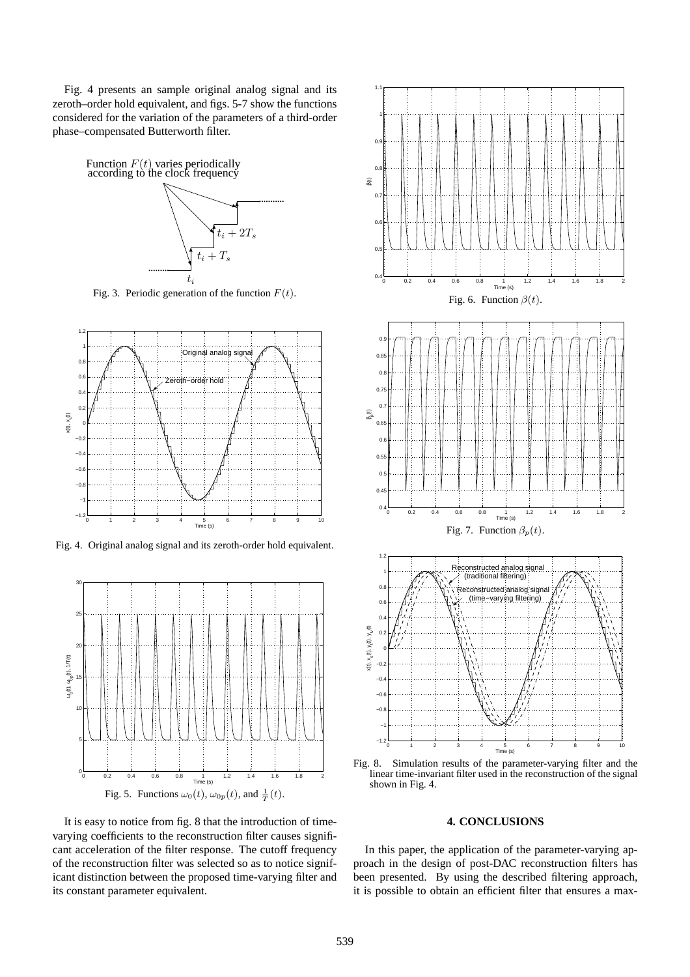Fig. 4 presents an sample original analog signal and its zeroth–order hold equivalent, and figs. 5-7 show the functions considered for the variation of the parameters of a third-order phase–compensated Butterworth filter.



Fig. 3. Periodic generation of the function  $F(t)$ .



Fig. 4. Original analog signal and its zeroth-order hold equivalent.



It is easy to notice from fig. 8 that the introduction of timevarying coefficients to the reconstruction filter causes significant acceleration of the filter response. The cutoff frequency of the reconstruction filter was selected so as to notice significant distinction between the proposed time-varying filter and its constant parameter equivalent.



Fig. 8. Simulation results of the parameter-varying filter and the linear time-invariant filter used in the reconstruction of the signal shown in Fig. 4.

## **4. CONCLUSIONS**

In this paper, the application of the parameter-varying approach in the design of post-DAC reconstruction filters has been presented. By using the described filtering approach, it is possible to obtain an efficient filter that ensures a max